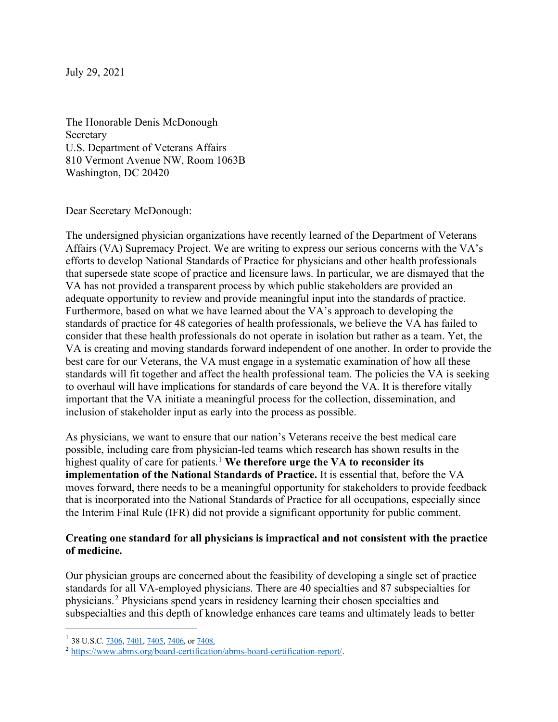July 29, 2021

The Honorable Denis McDonough Secretary U.S. Department of Veterans Affairs 810 Vermont Avenue NW, Room 1063B Washington, DC 20420

Dear Secretary McDonough:

The undersigned physician organizations have recently learned of the Department of Veterans Affairs (VA) Supremacy Project. We are writing to express our serious concerns with the VA's efforts to develop National Standards of Practice for physicians and other health professionals that supersede state scope of practice and licensure laws. In particular, we are dismayed that the VA has not provided a transparent process by which public stakeholders are provided an adequate opportunity to review and provide meaningful input into the standards of practice. Furthermore, based on what we have learned about the VA's approach to developing the standards of practice for 48 categories of health professionals, we believe the VA has failed to consider that these health professionals do not operate in isolation but rather as a team. Yet, the VA is creating and moving standards forward independent of one another. In order to provide the best care for our Veterans, the VA must engage in a systematic examination of how all these standards will fit together and affect the health professional team. The policies the VA is seeking to overhaul will have implications for standards of care beyond the VA. It is therefore vitally important that the VA initiate a meaningful process for the collection, dissemination, and inclusion of stakeholder input as early into the process as possible.

As physicians, we want to ensure that our nation's Veterans receive the best medical care possible, including care from physician-led teams which research has shown results in the highest quality of care for patients. [1](#page-0-0) **We therefore urge the VA to reconsider its implementation of the National Standards of Practice.** It is essential that, before the VA moves forward, there needs to be a meaningful opportunity for stakeholders to provide feedback that is incorporated into the National Standards of Practice for all occupations, especially since the Interim Final Rule (IFR) did not provide a significant opportunity for public comment.

## **Creating one standard for all physicians is impractical and not consistent with the practice of medicine.**

Our physician groups are concerned about the feasibility of developing a single set of practice standards for all VA-employed physicians. There are 40 specialties and 87 subspecialties for physicians.[2](#page-0-1) Physicians spend years in residency learning their chosen specialties and subspecialties and this depth of knowledge enhances care teams and ultimately leads to better

<span id="page-0-0"></span><sup>&</sup>lt;sup>1</sup> 38 U.S.C.  $\frac{7306}{7401}$ ,  $\frac{7405}{7406}$ , or  $\frac{7408}{7408}$ .

<span id="page-0-1"></span><sup>2</sup> [https://www.abms.org/board-certification/abms-board-certification-report/.](https://www.abms.org/board-certification/abms-board-certification-report/)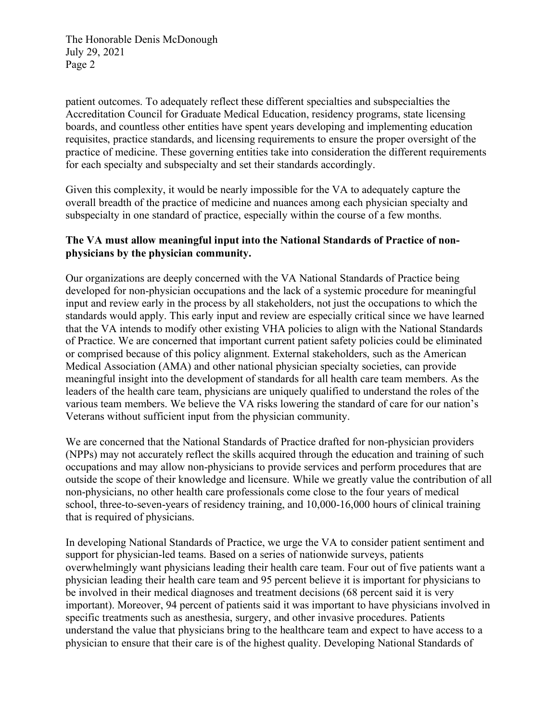patient outcomes. To adequately reflect these different specialties and subspecialties the Accreditation Council for Graduate Medical Education, residency programs, state licensing boards, and countless other entities have spent years developing and implementing education requisites, practice standards, and licensing requirements to ensure the proper oversight of the practice of medicine. These governing entities take into consideration the different requirements for each specialty and subspecialty and set their standards accordingly.

Given this complexity, it would be nearly impossible for the VA to adequately capture the overall breadth of the practice of medicine and nuances among each physician specialty and subspecialty in one standard of practice, especially within the course of a few months.

## **The VA must allow meaningful input into the National Standards of Practice of nonphysicians by the physician community.**

Our organizations are deeply concerned with the VA National Standards of Practice being developed for non-physician occupations and the lack of a systemic procedure for meaningful input and review early in the process by all stakeholders, not just the occupations to which the standards would apply. This early input and review are especially critical since we have learned that the VA intends to modify other existing VHA policies to align with the National Standards of Practice. We are concerned that important current patient safety policies could be eliminated or comprised because of this policy alignment. External stakeholders, such as the American Medical Association (AMA) and other national physician specialty societies, can provide meaningful insight into the development of standards for all health care team members. As the leaders of the health care team, physicians are uniquely qualified to understand the roles of the various team members. We believe the VA risks lowering the standard of care for our nation's Veterans without sufficient input from the physician community.

We are concerned that the National Standards of Practice drafted for non-physician providers (NPPs) may not accurately reflect the skills acquired through the education and training of such occupations and may allow non-physicians to provide services and perform procedures that are outside the scope of their knowledge and licensure. While we greatly value the contribution of all non-physicians, no other health care professionals come close to the four years of medical school, three-to-seven-years of residency training, and 10,000-16,000 hours of clinical training that is required of physicians.

In developing National Standards of Practice, we urge the VA to consider patient sentiment and support for physician-led teams. Based on a series of nationwide surveys, patients overwhelmingly want physicians leading their health care team. Four out of five patients want a physician leading their health care team and 95 percent believe it is important for physicians to be involved in their medical diagnoses and treatment decisions (68 percent said it is very important). Moreover, 94 percent of patients said it was important to have physicians involved in specific treatments such as anesthesia, surgery, and other invasive procedures. Patients understand the value that physicians bring to the healthcare team and expect to have access to a physician to ensure that their care is of the highest quality. Developing National Standards of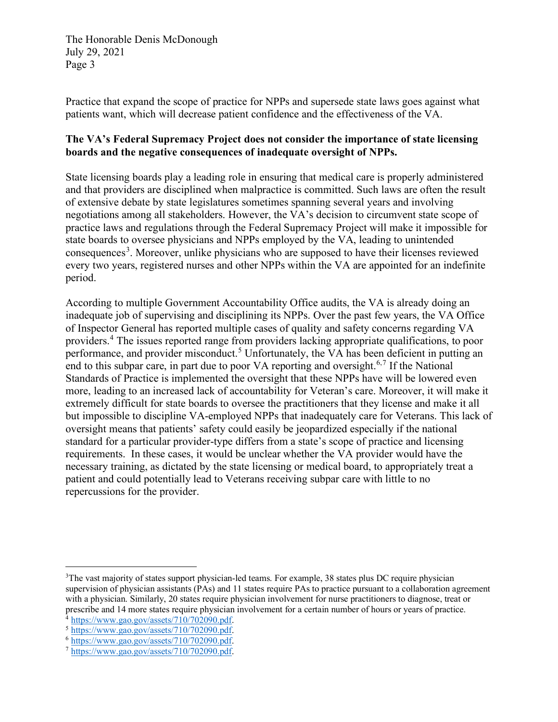Practice that expand the scope of practice for NPPs and supersede state laws goes against what patients want, which will decrease patient confidence and the effectiveness of the VA.

## **The VA's Federal Supremacy Project does not consider the importance of state licensing boards and the negative consequences of inadequate oversight of NPPs.**

State licensing boards play a leading role in ensuring that medical care is properly administered and that providers are disciplined when malpractice is committed. Such laws are often the result of extensive debate by state legislatures sometimes spanning several years and involving negotiations among all stakeholders. However, the VA's decision to circumvent state scope of practice laws and regulations through the Federal Supremacy Project will make it impossible for state boards to oversee physicians and NPPs employed by the VA, leading to unintended consequences<sup>[3](#page-2-0)</sup>. Moreover, unlike physicians who are supposed to have their licenses reviewed every two years, registered nurses and other NPPs within the VA are appointed for an indefinite period.

According to multiple Government Accountability Office audits, the VA is already doing an inadequate job of supervising and disciplining its NPPs. Over the past few years, the VA Office of Inspector General has reported multiple cases of quality and safety concerns regarding VA providers.[4](#page-2-1) The issues reported range from providers lacking appropriate qualifications, to poor performance, and provider misconduct.<sup>[5](#page-2-2)</sup> Unfortunately, the VA has been deficient in putting an end to this subpar care, in part due to poor VA reporting and oversight.<sup>[6](#page-2-3),[7](#page-2-4)</sup> If the National Standards of Practice is implemented the oversight that these NPPs have will be lowered even more, leading to an increased lack of accountability for Veteran's care. Moreover, it will make it extremely difficult for state boards to oversee the practitioners that they license and make it all but impossible to discipline VA-employed NPPs that inadequately care for Veterans. This lack of oversight means that patients' safety could easily be jeopardized especially if the national standard for a particular provider-type differs from a state's scope of practice and licensing requirements. In these cases, it would be unclear whether the VA provider would have the necessary training, as dictated by the state licensing or medical board, to appropriately treat a patient and could potentially lead to Veterans receiving subpar care with little to no repercussions for the provider.

<span id="page-2-0"></span><sup>&</sup>lt;sup>3</sup>The vast majority of states support physician-led teams. For example, 38 states plus DC require physician supervision of physician assistants (PAs) and 11 states require PAs to practice pursuant to a collaboration agreement with a physician. Similarly, 20 states require physician involvement for nurse practitioners to diagnose, treat or prescribe and 14 more states require physician involvement for a certain number of hours or years of practice.<br><sup>4</sup> https://www.gao.gov/assets/710/702090.pdf.

<span id="page-2-1"></span>

<span id="page-2-2"></span><sup>&</sup>lt;sup>5</sup> [https://www.gao.gov/assets/710/702090.pdf.](https://www.gao.gov/assets/710/702090.pdf)<br><sup>6</sup> https://www.gao.gov/assets/710/702090.pdf.

<span id="page-2-3"></span>

<span id="page-2-4"></span><sup>7</sup> [https://www.gao.gov/assets/710/702090.pdf.](https://www.gao.gov/assets/710/702090.pdf)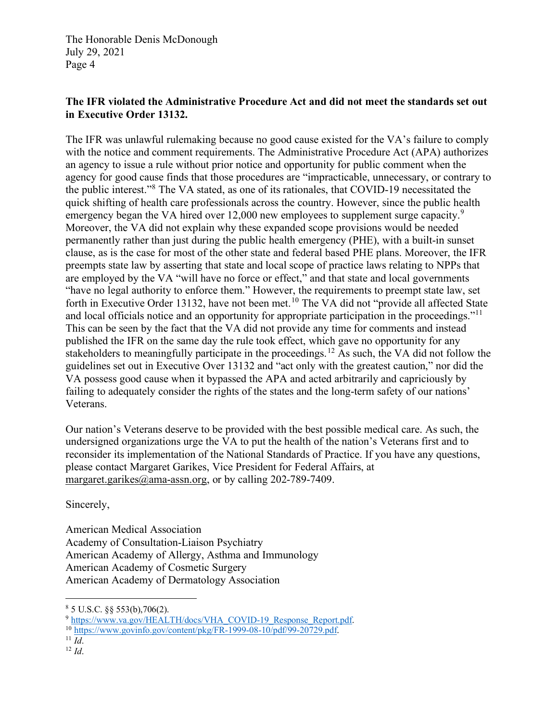## **The IFR violated the Administrative Procedure Act and did not meet the standards set out in Executive Order 13132.**

The IFR was unlawful rulemaking because no good cause existed for the VA's failure to comply with the notice and comment requirements. The Administrative Procedure Act (APA) authorizes an agency to issue a rule without prior notice and opportunity for public comment when the agency for good cause finds that those procedures are "impracticable, unnecessary, or contrary to the public interest."[8](#page-3-0) The VA stated, as one of its rationales, that COVID-19 necessitated the quick shifting of health care professionals across the country. However, since the public health emergency began the VA hired over 12,000 new employees to supplement surge capacity.<sup>[9](#page-3-1)</sup> Moreover, the VA did not explain why these expanded scope provisions would be needed permanently rather than just during the public health emergency (PHE), with a built-in sunset clause, as is the case for most of the other state and federal based PHE plans. Moreover, the IFR preempts state law by asserting that state and local scope of practice laws relating to NPPs that are employed by the VA "will have no force or effect," and that state and local governments "have no legal authority to enforce them." However, the requirements to preempt state law, set forth in Executive Order 13132, have not been met.<sup>[10](#page-3-2)</sup> The VA did not "provide all affected State" and local officials notice and an opportunity for appropriate participation in the proceedings."<sup>[11](#page-3-3)</sup> This can be seen by the fact that the VA did not provide any time for comments and instead published the IFR on the same day the rule took effect, which gave no opportunity for any stakeholders to meaningfully participate in the proceedings.<sup>[12](#page-3-4)</sup> As such, the VA did not follow the guidelines set out in Executive Over 13132 and "act only with the greatest caution," nor did the VA possess good cause when it bypassed the APA and acted arbitrarily and capriciously by failing to adequately consider the rights of the states and the long-term safety of our nations' Veterans.

Our nation's Veterans deserve to be provided with the best possible medical care. As such, the undersigned organizations urge the VA to put the health of the nation's Veterans first and to reconsider its implementation of the National Standards of Practice. If you have any questions, please contact Margaret Garikes, Vice President for Federal Affairs, at [margaret.garikes@ama-assn.org,](mailto:margaret.garikes@ama-assn.org) or by calling 202-789-7409.

Sincerely,

American Medical Association Academy of Consultation-Liaison Psychiatry American Academy of Allergy, Asthma and Immunology American Academy of Cosmetic Surgery American Academy of Dermatology Association

<span id="page-3-1"></span><span id="page-3-0"></span> $85$  U.S.C. §§ 553(b),706(2).<br> $9$  https://www.va.gov/HEALTH/docs/VHA COVID-19 Response Report.pdf.

<span id="page-3-2"></span><sup>&</sup>lt;sup>10</sup> [https://www.govinfo.gov/content/pkg/FR-1999-08-10/pdf/99-20729.pdf.](https://www.govinfo.gov/content/pkg/FR-1999-08-10/pdf/99-20729.pdf) <sup>11</sup> *Id.* 12 *Id.* 

<span id="page-3-4"></span><span id="page-3-3"></span>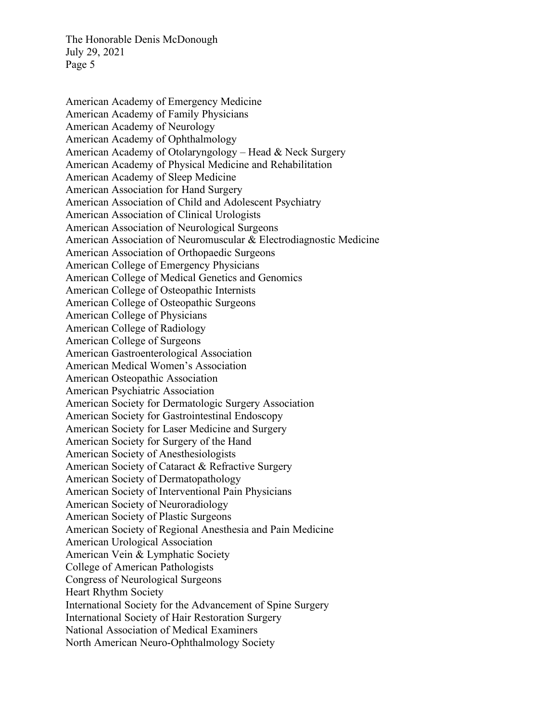American Academy of Emergency Medicine American Academy of Family Physicians American Academy of Neurology American Academy of Ophthalmology American Academy of Otolaryngology – Head & Neck Surgery American Academy of Physical Medicine and Rehabilitation American Academy of Sleep Medicine American Association for Hand Surgery American Association of Child and Adolescent Psychiatry American Association of Clinical Urologists American Association of Neurological Surgeons American Association of Neuromuscular & Electrodiagnostic Medicine American Association of Orthopaedic Surgeons American College of Emergency Physicians American College of Medical Genetics and Genomics American College of Osteopathic Internists American College of Osteopathic Surgeons American College of Physicians American College of Radiology American College of Surgeons American Gastroenterological Association American Medical Women's Association American Osteopathic Association American Psychiatric Association American Society for Dermatologic Surgery Association American Society for Gastrointestinal Endoscopy American Society for Laser Medicine and Surgery American Society for Surgery of the Hand American Society of Anesthesiologists American Society of Cataract & Refractive Surgery American Society of Dermatopathology American Society of Interventional Pain Physicians American Society of Neuroradiology American Society of Plastic Surgeons American Society of Regional Anesthesia and Pain Medicine American Urological Association American Vein & Lymphatic Society College of American Pathologists Congress of Neurological Surgeons Heart Rhythm Society International Society for the Advancement of Spine Surgery International Society of Hair Restoration Surgery National Association of Medical Examiners North American Neuro-Ophthalmology Society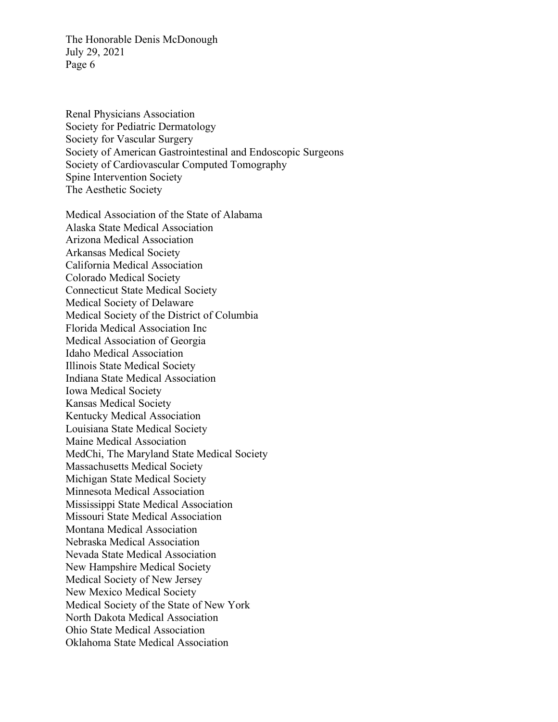Renal Physicians Association Society for Pediatric Dermatology Society for Vascular Surgery Society of American Gastrointestinal and Endoscopic Surgeons Society of Cardiovascular Computed Tomography Spine Intervention Society The Aesthetic Society

Medical Association of the State of Alabama Alaska State Medical Association Arizona Medical Association Arkansas Medical Society California Medical Association Colorado Medical Society Connecticut State Medical Society Medical Society of Delaware Medical Society of the District of Columbia Florida Medical Association Inc Medical Association of Georgia Idaho Medical Association Illinois State Medical Society Indiana State Medical Association Iowa Medical Society Kansas Medical Society Kentucky Medical Association Louisiana State Medical Society Maine Medical Association MedChi, The Maryland State Medical Society Massachusetts Medical Society Michigan State Medical Society Minnesota Medical Association Mississippi State Medical Association Missouri State Medical Association Montana Medical Association Nebraska Medical Association Nevada State Medical Association New Hampshire Medical Society Medical Society of New Jersey New Mexico Medical Society Medical Society of the State of New York North Dakota Medical Association Ohio State Medical Association Oklahoma State Medical Association